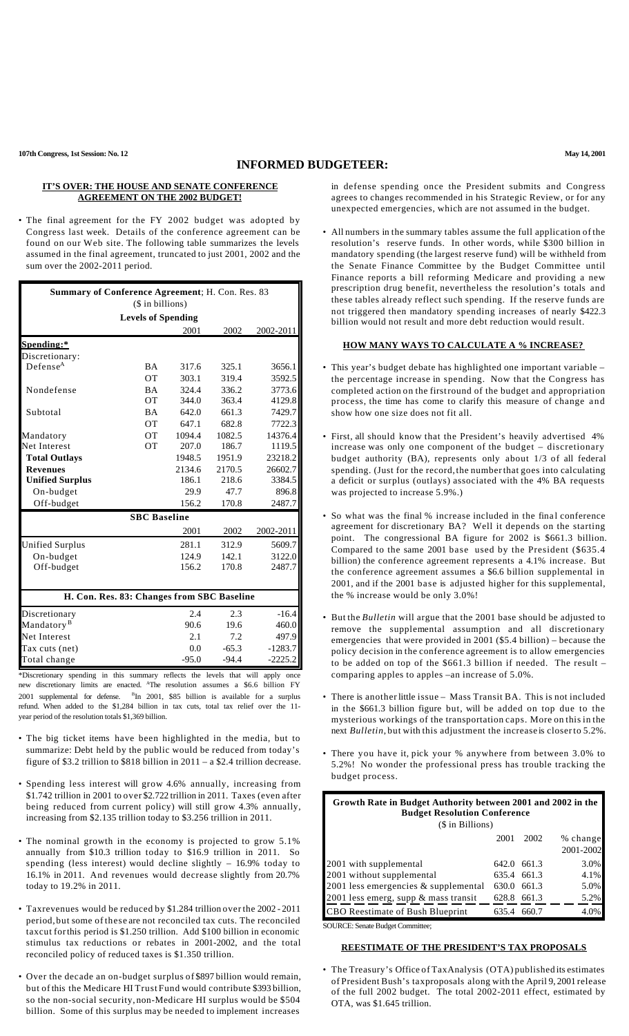### **INFORMED BUDGETEER:**

### **IT'S OVER: THE HOUSE AND SENATE CONFERENCE AGREEMENT ON THE 2002 BUDGET!**

• The final agreement for the FY 2002 budget was adopted by Congress last week. Details of the conference agreement can be found on our Web site. The following table summarizes the levels assumed in the final agreement, truncated to just 2001, 2002 and the sum over the 2002-2011 period.

| Summary of Conference Agreement; H. Con. Res. 83 |                                            |        |         |           |  |  |  |  |
|--------------------------------------------------|--------------------------------------------|--------|---------|-----------|--|--|--|--|
|                                                  | (\$ in billions)                           |        |         |           |  |  |  |  |
|                                                  | <b>Levels of Spending</b>                  |        |         |           |  |  |  |  |
|                                                  |                                            | 2001   | 2002    | 2002-2011 |  |  |  |  |
| Spending:*                                       |                                            |        |         |           |  |  |  |  |
| Discretionary:                                   |                                            |        |         |           |  |  |  |  |
| Defense <sup>A</sup>                             | <b>BA</b>                                  | 317.6  | 325.1   | 3656.1    |  |  |  |  |
|                                                  | <b>OT</b>                                  | 303.1  | 319.4   | 3592.5    |  |  |  |  |
| Nondefense                                       | <b>BA</b>                                  | 324.4  | 336.2   | 3773.6    |  |  |  |  |
|                                                  | ОT                                         | 344.0  | 363.4   | 4129.8    |  |  |  |  |
| Subtotal                                         | <b>BA</b>                                  | 642.0  | 661.3   | 7429.7    |  |  |  |  |
|                                                  | <b>OT</b>                                  | 647.1  | 682.8   | 7722.3    |  |  |  |  |
| Mandatory                                        | <b>OT</b>                                  | 1094.4 | 1082.5  | 14376.4   |  |  |  |  |
| Net Interest                                     | <b>OT</b>                                  | 207.0  | 186.7   | 1119.5    |  |  |  |  |
| <b>Total Outlays</b>                             |                                            | 1948.5 | 1951.9  | 23218.2   |  |  |  |  |
| <b>Revenues</b>                                  |                                            | 2134.6 | 2170.5  | 26602.7   |  |  |  |  |
| <b>Unified Surplus</b>                           |                                            | 186.1  | 218.6   | 3384.5    |  |  |  |  |
| On-budget                                        |                                            | 29.9   | 47.7    | 896.8     |  |  |  |  |
| Off-budget                                       |                                            | 156.2  | 170.8   | 2487.7    |  |  |  |  |
|                                                  | <b>SBC</b> Baseline                        |        |         |           |  |  |  |  |
|                                                  |                                            | 2001   | 2002    | 2002-2011 |  |  |  |  |
| Unified Surplus                                  |                                            | 281.1  | 312.9   | 5609.7    |  |  |  |  |
| On-budget                                        |                                            | 124.9  | 142.1   | 3122.0    |  |  |  |  |
| Off-budget                                       |                                            | 156.2  | 170.8   | 2487.7    |  |  |  |  |
|                                                  |                                            |        |         |           |  |  |  |  |
|                                                  | H. Con. Res. 83: Changes from SBC Baseline |        |         |           |  |  |  |  |
| Discretionary                                    |                                            | 2.4    | 2.3     | $-16.4$   |  |  |  |  |
| Mandatory <sup>B</sup>                           |                                            | 90.6   | 19.6    | 460.0     |  |  |  |  |
| Net Interest                                     |                                            | 2.1    | 7.2     | 497.9     |  |  |  |  |
| Tax cuts (net)                                   |                                            | 0.0    | $-65.3$ | $-1283.7$ |  |  |  |  |

\*Discretionary spending in this summary reflects the levels that will apply once new discretionary limits are enacted. <sup>A</sup>The resolution assumes a \$6.6 billion FY 2001 supplemental for defense. <sup>B</sup>In 2001, \$85 billion is available for a surplus refund. When added to the \$1,284 billion in tax cuts, total tax relief over the 11 year period of the resolution totals \$1,369 billion.

-95.0

-94.4

-2225.2

Total change

- The big ticket items have been highlighted in the media, but to summarize: Debt held by the public would be reduced from today's figure of \$3.2 trillion to \$818 billion in 2011 – a \$2.4 trillion decrease.
- Spending less interest will grow 4.6% annually, increasing from \$1.742 trillion in 2001 to over \$2.722 trillion in 2011. Taxes (even after being reduced from current policy) will still grow 4.3% annually, increasing from \$2.135 trillion today to \$3.256 trillion in 2011.
- The nominal growth in the economy is projected to grow 5.1% annually from \$10.3 trillion today to \$16.9 trillion in 2011. So spending (less interest) would decline slightly – 16.9% today to 16.1% in 2011. And revenues would decrease slightly from 20.7% today to 19.2% in 2011.
- Taxrevenues would be reduced by \$1.284 trillion overthe 2002 2011 period, but some of these are not reconciled tax cuts. The reconciled taxcut forthis period is \$1.250 trillion. Add \$100 billion in economic stimulus tax reductions or rebates in 2001-2002, and the total reconciled policy of reduced taxes is \$1.350 trillion.
- Over the decade an on-budget surplus of \$897 billion would remain, but of this the Medicare HI Trust Fund would contribute \$393 billion, so the non-social security, non-Medicare HI surplus would be \$504 billion. Some of this surplus may be needed to implement increases

in defense spending once the President submits and Congress agrees to changes recommended in his Strategic Review, or for any unexpected emergencies, which are not assumed in the budget.

• All numbers in the summary tables assume the full application of the resolution's reserve funds. In other words, while \$300 billion in mandatory spending (the largest reserve fund) will be withheld from the Senate Finance Committee by the Budget Committee until Finance reports a bill reforming Medicare and providing a new prescription drug benefit, nevertheless the resolution's totals and these tables already reflect such spending. If the reserve funds are not triggered then mandatory spending increases of nearly \$422.3 billion would not result and more debt reduction would result.

## **HOW MANY WAYS TO CALCULATE A % INCREASE?**

- This year's budget debate has highlighted one important variable the percentage increase in spending. Now that the Congress has completed action on the firstround of the budget and appropriation process, the time has come to clarify this measure of change and show how one size does not fit all.
- First, all should know that the President's heavily advertised 4% increase was only one component of the budget – discretionary budget authority (BA), represents only about 1/3 of all federal spending. (Just for the record, the number that goes into calculating a deficit or surplus (outlays) associated with the 4% BA requests was projected to increase 5.9%.)
- So what was the final % increase included in the final conference agreement for discretionary BA? Well it depends on the starting point. The congressional BA figure for 2002 is \$661.3 billion. Compared to the same 2001 base used by the President (\$635.4 billion) the conference agreement represents a 4.1% increase. But the conference agreement assumes a \$6.6 billion supplemental in 2001, and if the 2001 base is adjusted higher for this supplemental, the % increase would be only 3.0%!
- But the *Bulletin* will argue that the 2001 base should be adjusted to remove the supplemental assumption and all discretionary emergencies that were provided in 2001 (\$5.4 billion) – because the policy decision in the conference agreement is to allow emergencies to be added on top of the \$661.3 billion if needed. The result – comparing apples to apples –an increase of 5.0%.
- There is another little issue Mass Transit BA. This is not included in the \$661.3 billion figure but, will be added on top due to the mysterious workings of the transportation caps. More on this in the next *Bulletin*, but with this adjustment the increase is closerto 5.2%.
- There you have it, pick your % anywhere from between 3.0% to 5.2%! No wonder the professional press has trouble tracking the budget process.

| Growth Rate in Budget Authority between 2001 and 2002 in the<br><b>Budget Resolution Conference</b><br>(\$ in Billions) |       |             |                       |  |  |
|-------------------------------------------------------------------------------------------------------------------------|-------|-------------|-----------------------|--|--|
|                                                                                                                         | 2001  | 2002        | % change<br>2001-2002 |  |  |
| 2001 with supplemental                                                                                                  |       | 642.0 661.3 | 3.0%                  |  |  |
| 2001 without supplemental                                                                                               |       | 635.4 661.3 | 4.1%                  |  |  |
| 2001 less emergencies $&$ supplemental                                                                                  | 630.0 | 661.3       | 5.0%                  |  |  |
| 2001 less emerg, supp & mass transit                                                                                    |       | 628.8 661.3 | 5.2%                  |  |  |
| <b>CBO</b> Reestimate of Bush Blueprint                                                                                 | 635.4 | 660.7       | 4.0%                  |  |  |

SOURCE: Senate Budget Committee;

# **REESTIMATE OF THE PRESIDENT'S TAX PROPOSALS**

• The Treasury's Office of TaxAnalysis (OTA) published its estimates of President Bush's taxproposals along with the April 9, 2001 release of the full 2002 budget. The total 2002-2011 effect, estimated by OTA, was \$1.645 trillion.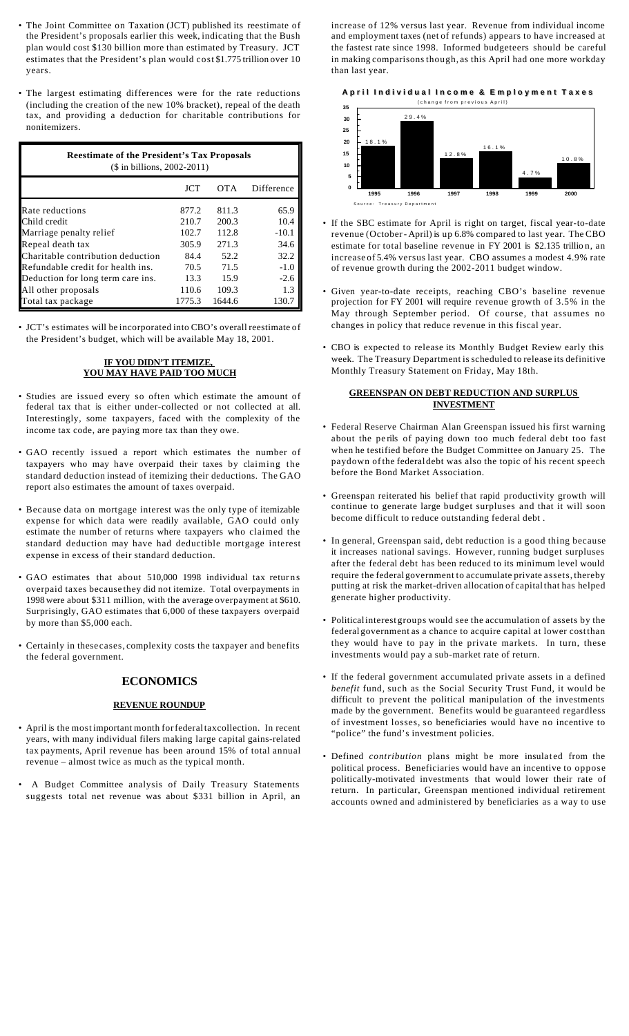- The Joint Committee on Taxation (JCT) published its reestimate of the President's proposals earlier this week, indicating that the Bush plan would cost \$130 billion more than estimated by Treasury. JCT estimates that the President's plan would cost \$1.775 trillion over 10 years.
- The largest estimating differences were for the rate reductions (including the creation of the new 10% bracket), repeal of the death tax, and providing a deduction for charitable contributions for nonitemizers.

| <b>Reestimate of the President's Tax Proposals</b><br>$($$ in billions, 2002-2011) |            |            |            |  |  |  |
|------------------------------------------------------------------------------------|------------|------------|------------|--|--|--|
|                                                                                    | <b>JCT</b> | <b>OTA</b> | Difference |  |  |  |
| Rate reductions                                                                    | 877.2      | 811.3      | 65.9       |  |  |  |
| Child credit                                                                       | 210.7      | 200.3      | 10.4       |  |  |  |
| Marriage penalty relief                                                            | 102.7      | 112.8      | $-10.1$    |  |  |  |
| Repeal death tax                                                                   | 305.9      | 271.3      | 34.6       |  |  |  |
| Charitable contribution deduction                                                  | 84.4       | 52.2       | 32.2       |  |  |  |
| Refundable credit for health ins.                                                  | 70.5       | 71.5       | $-1.0$     |  |  |  |
| Deduction for long term care ins.                                                  | 13.3       | 15.9       | $-2.6$     |  |  |  |
| All other proposals                                                                | 110.6      | 109.3      | 1.3        |  |  |  |
| Total tax package                                                                  | 1775.3     | 1644.6     | 130.7      |  |  |  |

• JCT's estimates will be incorporated into CBO's overall reestimate of the President's budget, which will be available May 18, 2001.

# **IF YOU DIDN'T ITEMIZE, YOU MAY HAVE PAID TOO MUCH**

- Studies are issued every so often which estimate the amount of federal tax that is either under-collected or not collected at all. Interestingly, some taxpayers, faced with the complexity of the income tax code, are paying more tax than they owe.
- GAO recently issued a report which estimates the number of taxpayers who may have overpaid their taxes by claiming the standard deduction instead of itemizing their deductions. The GAO report also estimates the amount of taxes overpaid.
- Because data on mortgage interest was the only type of itemizable expense for which data were readily available, GAO could only estimate the number of returns where taxpayers who claimed the standard deduction may have had deductible mortgage interest expense in excess of their standard deduction.
- GAO estimates that about 510,000 1998 individual tax returns overpaid taxes because they did not itemize. Total overpayments in 1998 were about \$311 million, with the average overpayment at \$610. Surprisingly, GAO estimates that 6,000 of these taxpayers overpaid by more than \$5,000 each.
- Certainly in these cases, complexity costs the taxpayer and benefits the federal government.

# **ECONOMICS**

#### **REVENUE ROUNDUP**

- April is the most important month forfederaltaxcollection. In recent years, with many individual filers making large capital gains-related tax payments, April revenue has been around 15% of total annual revenue – almost twice as much as the typical month.
- A Budget Committee analysis of Daily Treasury Statements suggests total net revenue was about \$331 billion in April, an

increase of 12% versus last year. Revenue from individual income and employment taxes (net of refunds) appears to have increased at the fastest rate since 1998. Informed budgeteers should be careful in making comparisons though, as this April had one more workday than last year.

## **April Individual Income & Employment Taxes**



- If the SBC estimate for April is right on target, fiscal year-to-date revenue (October- April) is up 6.8% compared to last year. The CBO estimate for total baseline revenue in FY 2001 is \$2.135 trillio n, an increase of 5.4% versus last year. CBO assumes a modest 4.9% rate of revenue growth during the 2002-2011 budget window.
- Given year-to-date receipts, reaching CBO's baseline revenue projection for FY 2001 will require revenue growth of 3.5% in the May through September period. Of course, that assumes no changes in policy that reduce revenue in this fiscal year.
- CBO is expected to release its Monthly Budget Review early this week. The Treasury Department is scheduled to release its definitive Monthly Treasury Statement on Friday, May 18th.

#### **GREENSPAN ON DEBT REDUCTION AND SURPLUS INVESTMENT**

- Federal Reserve Chairman Alan Greenspan issued his first warning about the pe rils of paying down too much federal debt too fast when he testified before the Budget Committee on January 25. The paydown ofthe federal debt was also the topic of his recent speech before the Bond Market Association.
- Greenspan reiterated his belief that rapid productivity growth will continue to generate large budget surpluses and that it will soon become difficult to reduce outstanding federal debt .
- In general, Greenspan said, debt reduction is a good thing because it increases national savings. However, running budget surpluses after the federal debt has been reduced to its minimum level would require the federal government to accumulate private assets, thereby putting at risk the market-driven allocation of capitalthat has helped generate higher productivity.
- Politicalinterest groups would see the accumulation of assets by the federal government as a chance to acquire capital at lower costthan they would have to pay in the private markets. In turn, these investments would pay a sub-market rate of return.
- If the federal government accumulated private assets in a defined *benefit* fund, such as the Social Security Trust Fund, it would be difficult to prevent the political manipulation of the investments made by the government. Benefits would be guaranteed regardless of investment losses, so beneficiaries would have no incentive to "police" the fund's investment policies.
- Defined *contribution* plans might be more insulated from the political process. Beneficiaries would have an incentive to oppose politically-motivated investments that would lower their rate of return. In particular, Greenspan mentioned individual retirement accounts owned and administered by beneficiaries as a way to use